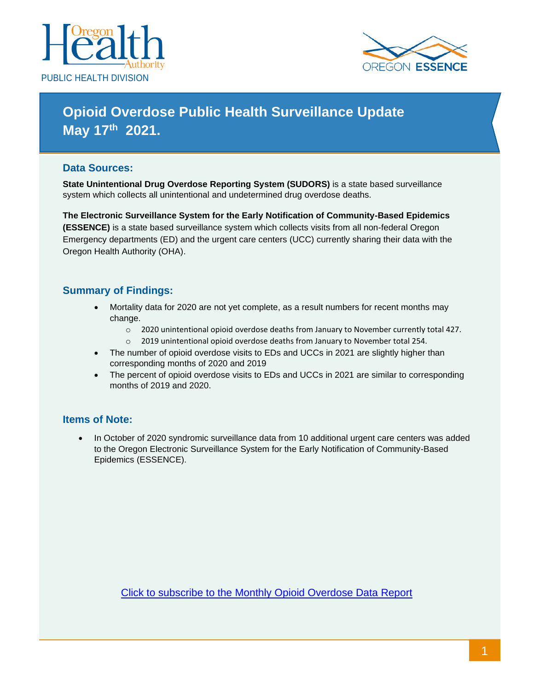



# **Opioid Overdose Public Health Surveillance Update May 17 th 2021.**

## **Data Sources:**

**State Unintentional Drug Overdose Reporting System (SUDORS)** is a state based surveillance system which collects all unintentional and undetermined drug overdose deaths.

**The Electronic Surveillance System for the Early Notification of Community-Based Epidemics (ESSENCE)** is a state based surveillance system which collects visits from all non-federal Oregon Emergency departments (ED) and the urgent care centers (UCC) currently sharing their data with the Oregon Health Authority (OHA).

## **Summary of Findings:**

- Mortality data for 2020 are not yet complete, as a result numbers for recent months may change.
	- o 2020 unintentional opioid overdose deaths from January to November currently total 427.
	- o 2019 unintentional opioid overdose deaths from January to November total 254.
- The number of opioid overdose visits to EDs and UCCs in 2021 are slightly higher than corresponding months of 2020 and 2019
- The percent of opioid overdose visits to EDs and UCCs in 2021 are similar to corresponding months of 2019 and 2020.

### **Items of Note:**

• In October of 2020 syndromic surveillance data from 10 additional urgent care centers was added to the Oregon Electronic Surveillance System for the Early Notification of Community-Based Epidemics (ESSENCE).

[Click to subscribe to the Monthly Opioid Overdose Data Report](https://public.govdelivery.com/accounts/ORDHS/subscriber/new?topic_id=ORDHS_926)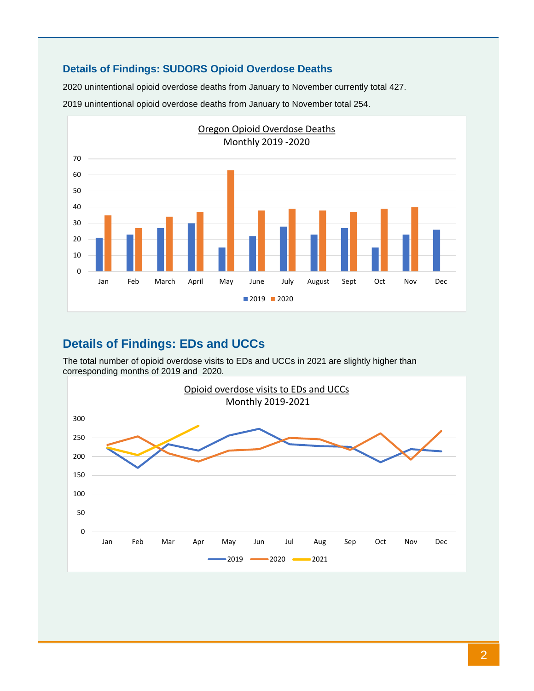## **Details of Findings: SUDORS Opioid Overdose Deaths**

2020 unintentional opioid overdose deaths from January to November currently total 427.

2019 unintentional opioid overdose deaths from January to November total 254.



## **Details of Findings: EDs and UCCs**

The total number of opioid overdose visits to EDs and UCCs in 2021 are slightly higher than corresponding months of 2019 and 2020.

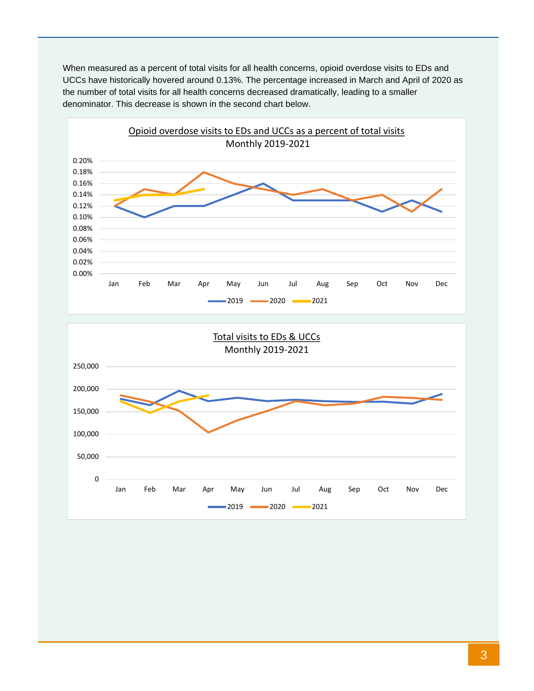When measured as a percent of total visits for all health concerns, opioid overdose visits to EDs and UCCs have historically hovered around 0.13%. The percentage increased in March and April of 2020 as the number of total visits for all health concerns decreased dramatically, leading to a smaller denominator. This decrease is shown in the second chart below.



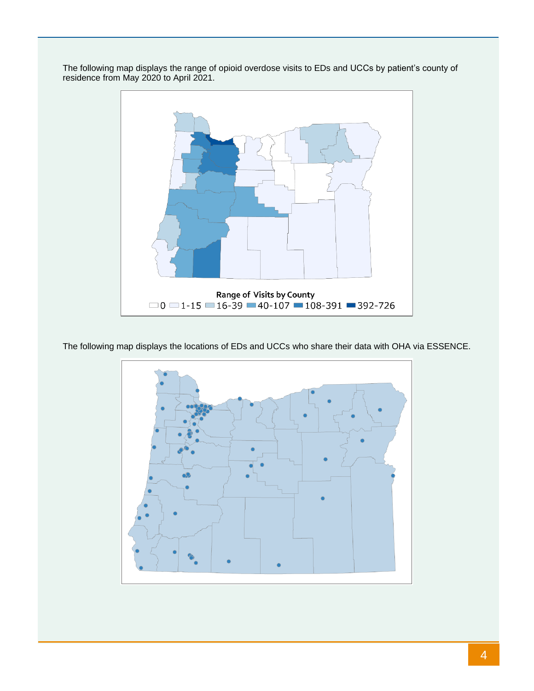

The following map displays the range of opioid overdose visits to EDs and UCCs by patient's county of residence from May 2020 to April 2021.

The following map displays the locations of EDs and UCCs who share their data with OHA via ESSENCE.